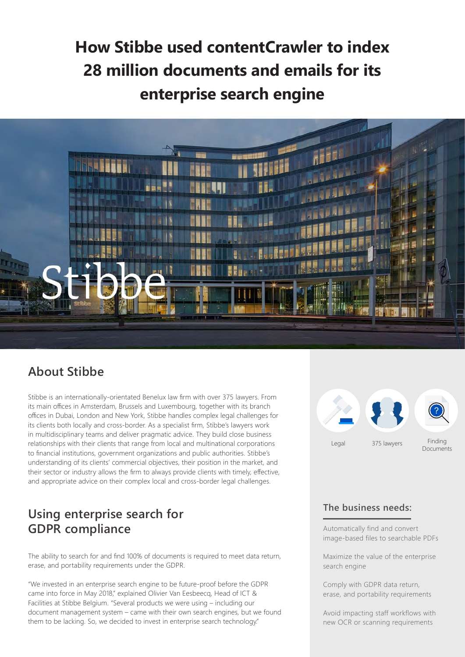# **How Stibbe used contentCrawler to index 28 million documents and emails for its enterprise search engine**



### **About Stibbe**

Stibbe is an internationally-orientated Benelux law firm with over 375 lawyers. From its main offices in Amsterdam, Brussels and Luxembourg, together with its branch offices in Dubai, London and New York, Stibbe handles complex legal challenges for its clients both locally and cross-border. As a specialist firm, Stibbe's lawyers work in multidisciplinary teams and deliver pragmatic advice. They build close business relationships with their clients that range from local and multinational corporations to financial institutions, government organizations and public authorities. Stibbe's understanding of its clients' commercial objectives, their position in the market, and their sector or industry allows the firm to always provide clients with timely, effective, and appropriate advice on their complex local and cross-border legal challenges.

# **Using enterprise search for GDPR compliance**

The ability to search for and find 100% of documents is required to meet data return, erase, and portability requirements under the GDPR.

"We invested in an enterprise search engine to be future-proof before the GDPR came into force in May 2018," explained Olivier Van Eesbeecq, Head of ICT & Facilities at Stibbe Belgium. "Several products we were using – including our document management system – came with their own search engines, but we found them to be lacking. So, we decided to invest in enterprise search technology."



#### **The business needs:**

Automatically find and convert image-based files to searchable PDFs

Maximize the value of the enterprise search engine

Comply with GDPR data return, erase, and portability requirements

Avoid impacting staff workflows with new OCR or scanning requirements